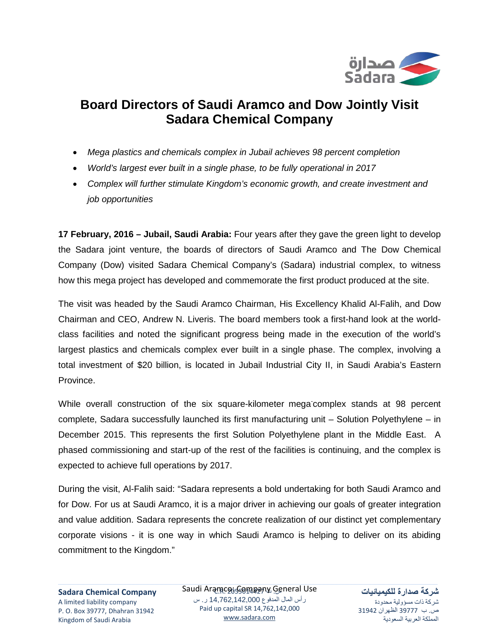

## **Board Directors of Saudi Aramco and Dow Jointly Visit Sadara Chemical Company**

- *Mega plastics and chemicals complex in Jubail achieves 98 percent completion*
- *World's largest ever built in a single phase, to be fully operational in 2017*
- *Complex will further stimulate Kingdom's economic growth, and create investment and job opportunities*

**17 February, 2016 – Jubail, Saudi Arabia:** Four years after they gave the green light to develop the Sadara joint venture, the boards of directors of Saudi Aramco and The Dow Chemical Company (Dow) visited Sadara Chemical Company's (Sadara) industrial complex, to witness how this mega project has developed and commemorate the first product produced at the site.

The visit was headed by the Saudi Aramco Chairman, His Excellency Khalid Al-Falih, and Dow Chairman and CEO, Andrew N. Liveris. The board members took a first-hand look at the worldclass facilities and noted the significant progress being made in the execution of the world's largest plastics and chemicals complex ever built in a single phase. The complex, involving a total investment of \$20 billion, is located in Jubail Industrial City II, in Saudi Arabia's Eastern Province.

While overall construction of the six square-kilometer mega<sup>-</sup>complex stands at 98 percent complete, Sadara successfully launched its first manufacturing unit – Solution Polyethylene – in December 2015. This represents the first Solution Polyethylene plant in the Middle East. A phased commissioning and start-up of the rest of the facilities is continuing, and the complex is expected to achieve full operations by 2017.

During the visit, Al-Falih said: "Sadara represents a bold undertaking for both Saudi Aramco and for Dow. For us at Saudi Aramco, it is a major driver in achieving our goals of greater integration and value addition. Sadara represents the concrete realization of our distinct yet complementary corporate visions - it is one way in which Saudi Aramco is helping to deliver on its abiding commitment to the Kingdom."

ـــــــــــــــــــــــــــــــــــــــــــــــــــــــــــــــــــــــــــــــــــــــــــــــــــــــــــــــــــــــــــــــــــــــــــــــــــــــــــــــــــــــــــــــــــــــــــــــــــــــــــــــــــــــــــــــــــــــــــــــــــــــــــــــــــــــــــــــــــــــــــــــــــــــــــــــــــــــــــــــــــ Saudi Aramc<u>o: Gompany Ge</u>neral Use رأس المال المدفوع 14,762,142,000 ر. س Paid up capital SR 14,762,142,000 [www.sadara.com](http://www.sadara.com/)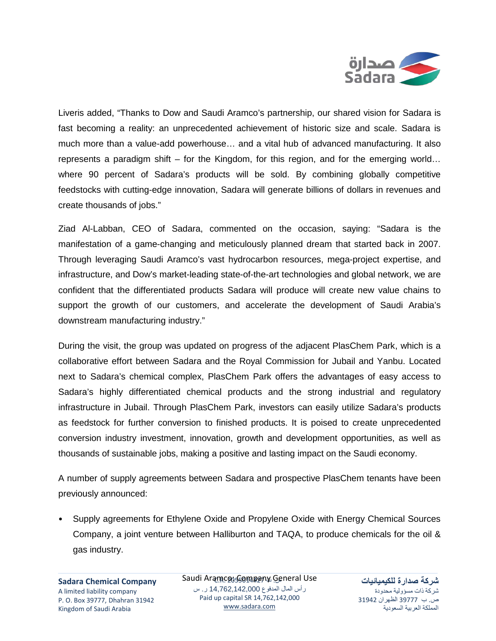

Liveris added, "Thanks to Dow and Saudi Aramco's partnership, our shared vision for Sadara is fast becoming a reality: an unprecedented achievement of historic size and scale. Sadara is much more than a value-add powerhouse… and a vital hub of advanced manufacturing. It also represents a paradigm shift – for the Kingdom, for this region, and for the emerging world… where 90 percent of Sadara's products will be sold. By combining globally competitive feedstocks with cutting-edge innovation, Sadara will generate billions of dollars in revenues and create thousands of jobs."

Ziad Al-Labban, CEO of Sadara, commented on the occasion, saying: "Sadara is the manifestation of a game-changing and meticulously planned dream that started back in 2007. Through leveraging Saudi Aramco's vast hydrocarbon resources, mega-project expertise, and infrastructure, and Dow's market-leading state-of-the-art technologies and global network, we are confident that the differentiated products Sadara will produce will create new value chains to support the growth of our customers, and accelerate the development of Saudi Arabia's downstream manufacturing industry."

During the visit, the group was updated on progress of the adjacent PlasChem Park, which is a collaborative effort between Sadara and the Royal Commission for Jubail and Yanbu. Located next to Sadara's chemical complex, PlasChem Park offers the advantages of easy access to Sadara's highly differentiated chemical products and the strong industrial and regulatory infrastructure in Jubail. Through PlasChem Park, investors can easily utilize Sadara's products as feedstock for further conversion to finished products. It is poised to create unprecedented conversion industry investment, innovation, growth and development opportunities, as well as thousands of sustainable jobs, making a positive and lasting impact on the Saudi economy.

A number of supply agreements between Sadara and prospective PlasChem tenants have been previously announced:

• Supply agreements for Ethylene Oxide and Propylene Oxide with Energy Chemical Sources Company, a joint venture between Halliburton and TAQA, to produce chemicals for the oil & gas industry.

**Sadara Chemical Company** A limited liability company P. O. Box 39777, Dhahran 31942 Kingdom of Saudi Arabia

ـــــــــــــــــــــــــــــــــــــــــــــــــــــــــــــــــــــــــــــــــــــــــــــــــــــــــــــــــــــــــــــــــــــــــــــــــــــــــــــــــــــــــــــــــــــــــــــــــــــــــــــــــــــــــــــــــــــــــــــــــــــــــــــــــــــــــــــــــــــــــــــــــــــــــــــــــــــــــــــــــــ Saudi Aramc<u>o: Gompany Ge</u>neral Use رأس المال المدفوع 14,762,142,000 ر. س Paid up capital SR 14,762,142,000 [www.sadara.com](http://www.sadara.com/)

**شركة صدارة للكيميائيات** شركة ذات مسؤولية محدودة ص. ب 39777 الظهران 31942 المملكة العربية السعودية